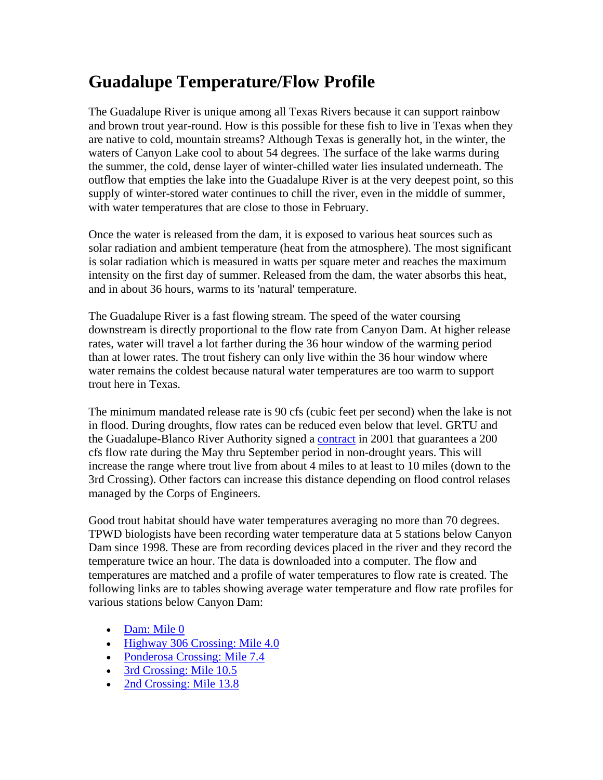## **Guadalupe Temperature/Flow Profile**

The Guadalupe River is unique among all Texas Rivers because it can support rainbow and brown trout year-round. How is this possible for these fish to live in Texas when they are native to cold, mountain streams? Although Texas is generally hot, in the winter, the waters of Canyon Lake cool to about 54 degrees. The surface of the lake warms during the summer, the cold, dense layer of winter-chilled water lies insulated underneath. The outflow that empties the lake into the Guadalupe River is at the very deepest point, so this supply of winter-stored water continues to chill the river, even in the middle of summer, with water temperatures that are close to those in February.

Once the water is released from the dam, it is exposed to various heat sources such as solar radiation and ambient temperature (heat from the atmosphere). The most significant is solar radiation which is measured in watts per square meter and reaches the maximum intensity on the first day of summer. Released from the dam, the water absorbs this heat, and in about 36 hours, warms to its 'natural' temperature.

The Guadalupe River is a fast flowing stream. The speed of the water coursing downstream is directly proportional to the flow rate from Canyon Dam. At higher release rates, water will travel a lot farther during the 36 hour window of the warming period than at lower rates. The trout fishery can only live within the 36 hour window where water remains the coldest because natural water temperatures are too warm to support trout here in Texas.

The minimum mandated release rate is 90 cfs (cubic feet per second) when the lake is not in flood. During droughts, flow rates can be reduced even below that level. GRTU and the Guadalupe-Blanco River Authority signed a [contract](http://www.grtu.org/GRTU_Signed_Contract.html) in 2001 that guarantees a 200 cfs flow rate during the May thru September period in non-drought years. This will increase the range where trout live from about 4 miles to at least to 10 miles (down to the 3rd Crossing). Other factors can increase this distance depending on flood control relases managed by the Corps of Engineers.

Good trout habitat should have water temperatures averaging no more than 70 degrees. TPWD biologists have been recording water temperature data at 5 stations below Canyon Dam since 1998. These are from recording devices placed in the river and they record the temperature twice an hour. The data is downloaded into a computer. The flow and temperatures are matched and a profile of water temperatures to flow rate is created. The following links are to tables showing average water temperature and flow rate profiles for various stations below Canyon Dam:

- [Dam: Mile 0](http://www.grtu.org/Canyon_Dam_Temp_Flow_Profile.htm)
- [Highway 306 Crossing: Mile 4.0](http://www.grtu.org/306_Xing_Temp_Flow_Profile.htm)
- [Ponderosa Crossing: Mile 7.4](http://www.grtu.org/Ponderosa_Xing_Temp_Flow_Profile.htm)
- [3rd Crossing: Mile 10.5](http://www.grtu.org/3rd_Xing_Temp_Flow_Profile.htm)
- [2nd Crossing: Mile 13.8](http://www.grtu.org/2nd_Xing_Temp_Flow_Profile.htm)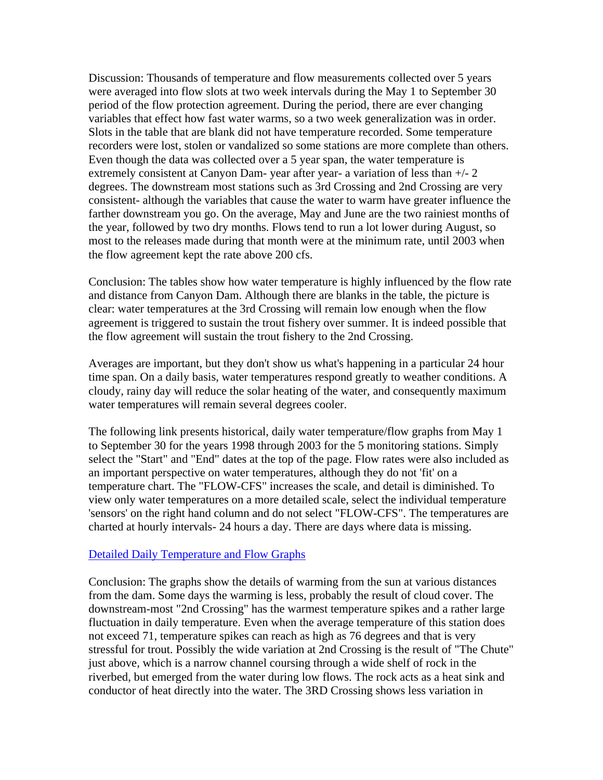Discussion: Thousands of temperature and flow measurements collected over 5 years were averaged into flow slots at two week intervals during the May 1 to September 30 period of the flow protection agreement. During the period, there are ever changing variables that effect how fast water warms, so a two week generalization was in order. Slots in the table that are blank did not have temperature recorded. Some temperature recorders were lost, stolen or vandalized so some stations are more complete than others. Even though the data was collected over a 5 year span, the water temperature is extremely consistent at Canyon Dam- year after year- a variation of less than  $+/- 2$ degrees. The downstream most stations such as 3rd Crossing and 2nd Crossing are very consistent- although the variables that cause the water to warm have greater influence the farther downstream you go. On the average, May and June are the two rainiest months of the year, followed by two dry months. Flows tend to run a lot lower during August, so most to the releases made during that month were at the minimum rate, until 2003 when the flow agreement kept the rate above 200 cfs.

Conclusion: The tables show how water temperature is highly influenced by the flow rate and distance from Canyon Dam. Although there are blanks in the table, the picture is clear: water temperatures at the 3rd Crossing will remain low enough when the flow agreement is triggered to sustain the trout fishery over summer. It is indeed possible that the flow agreement will sustain the trout fishery to the 2nd Crossing.

Averages are important, but they don't show us what's happening in a particular 24 hour time span. On a daily basis, water temperatures respond greatly to weather conditions. A cloudy, rainy day will reduce the solar heating of the water, and consequently maximum water temperatures will remain several degrees cooler.

The following link presents historical, daily water temperature/flow graphs from May 1 to September 30 for the years 1998 through 2003 for the 5 monitoring stations. Simply select the "Start" and "End" dates at the top of the page. Flow rates were also included as an important perspective on water temperatures, although they do not 'fit' on a temperature chart. The "FLOW-CFS" increases the scale, and detail is diminished. To view only water temperatures on a more detailed scale, select the individual temperature 'sensors' on the right hand column and do not select "FLOW-CFS". The temperatures are charted at hourly intervals- 24 hours a day. There are days where data is missing.

## [Detailed Daily Temperature and Flow Graphs](http://www.grtu.org/%7Egrtuorg/guadtemp)

Conclusion: The graphs show the details of warming from the sun at various distances from the dam. Some days the warming is less, probably the result of cloud cover. The downstream-most "2nd Crossing" has the warmest temperature spikes and a rather large fluctuation in daily temperature. Even when the average temperature of this station does not exceed 71, temperature spikes can reach as high as 76 degrees and that is very stressful for trout. Possibly the wide variation at 2nd Crossing is the result of "The Chute" just above, which is a narrow channel coursing through a wide shelf of rock in the riverbed, but emerged from the water during low flows. The rock acts as a heat sink and conductor of heat directly into the water. The 3RD Crossing shows less variation in